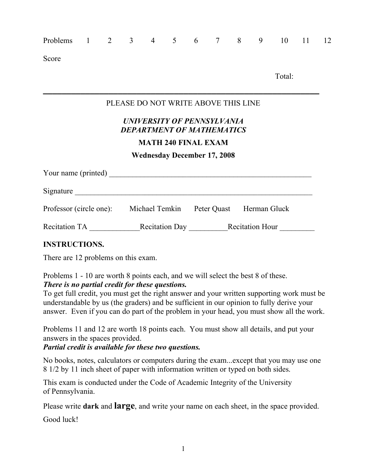| Problems                                                        | $1 \qquad \qquad$ |  | $2 \quad 3 \quad 4$                                                                          | 5 <sup>5</sup> | $6\overline{6}$ | 7 8 | 9 | 10     | 11 | 12 |
|-----------------------------------------------------------------|-------------------|--|----------------------------------------------------------------------------------------------|----------------|-----------------|-----|---|--------|----|----|
| Score                                                           |                   |  |                                                                                              |                |                 |     |   |        |    |    |
|                                                                 |                   |  |                                                                                              |                |                 |     |   | Total: |    |    |
|                                                                 |                   |  | PLEASE DO NOT WRITE ABOVE THIS LINE                                                          |                |                 |     |   |        |    |    |
|                                                                 |                   |  | UNIVERSITY OF PENNSYLVANIA<br><b>DEPARTMENT OF MATHEMATICS</b><br><b>MATH 240 FINAL EXAM</b> |                |                 |     |   |        |    |    |
|                                                                 |                   |  | <b>Wednesday December 17, 2008</b>                                                           |                |                 |     |   |        |    |    |
|                                                                 |                   |  |                                                                                              |                |                 |     |   |        |    |    |
| Signature                                                       |                   |  |                                                                                              |                |                 |     |   |        |    |    |
| Professor (circle one): Michael Temkin Peter Quast Herman Gluck |                   |  |                                                                                              |                |                 |     |   |        |    |    |
| Recitation TA Recitation Day Recitation Hour                    |                   |  |                                                                                              |                |                 |     |   |        |    |    |
| <b>INSTRUCTIONS.</b>                                            |                   |  |                                                                                              |                |                 |     |   |        |    |    |
| There are 12 problems on this exam.                             |                   |  |                                                                                              |                |                 |     |   |        |    |    |

### Problems 1 - 10 are worth 8 points each, and we will select the best 8 of these. *There is no partial credit for these questions.*

To get full credit, you must get the right answer and your written supporting work must be understandable by us (the graders) and be sufficient in our opinion to fully derive your answer. Even if you can do part of the problem in your head, you must show all the work.

Problems 11 and 12 are worth 18 points each. You must show all details, and put your answers in the spaces provided.

*Partial credit is available for these two questions.*

No books, notes, calculators or computers during the exam...except that you may use one 8 1/2 by 11 inch sheet of paper with information written or typed on both sides.

This exam is conducted under the Code of Academic Integrity of the University of Pennsylvania.

Please write **dark** and **large**, and write your name on each sheet, in the space provided.

Good luck!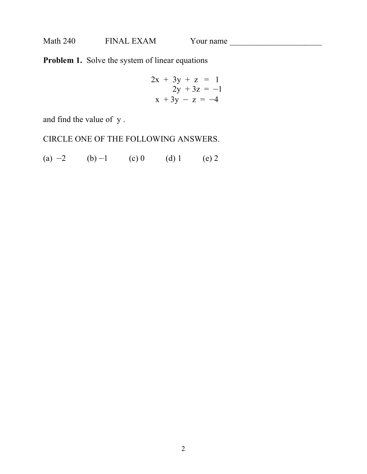**Problem 1.** Solve the system of linear equations

$$
2x + 3y + z = 1\n2y + 3z = -1\nx + 3y - z = -4
$$

and find the value of y .

CIRCLE ONE OF THE FOLLOWING ANSWERS.

(a)  $-2$  (b)  $-1$  (c) 0 (d) 1 (e) 2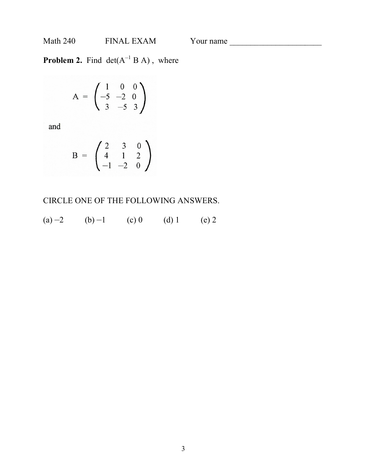**Problem 2.** Find  $det(A^{-1}BA)$ , where

$$
A = \begin{pmatrix} 1 & 0 & 0 \\ -5 & -2 & 0 \\ 3 & -5 & 3 \end{pmatrix}
$$

and

$$
B = \begin{pmatrix} 2 & 3 & 0 \\ 4 & 1 & 2 \\ -1 & -2 & 0 \end{pmatrix}
$$

CIRCLE ONE OF THE FOLLOWING ANSWERS.

(a)  $-2$  (b)  $-1$  (c) 0 (d) 1 (e) 2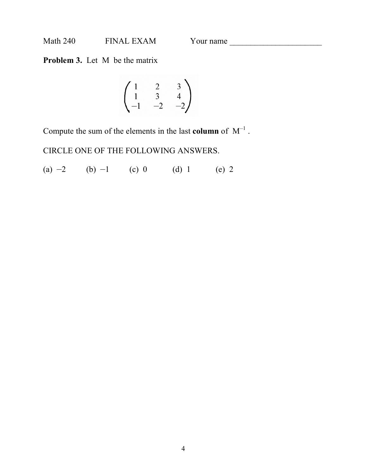**Problem 3.** Let M be the matrix

$$
\begin{pmatrix} 1 & 2 & 3 \ 1 & 3 & 4 \ -1 & -2 & -2 \end{pmatrix}
$$

Compute the sum of the elements in the last **column** of  $M^{-1}$ .

CIRCLE ONE OF THE FOLLOWING ANSWERS.

(a)  $-2$  (b)  $-1$  (c) 0 (d) 1 (e) 2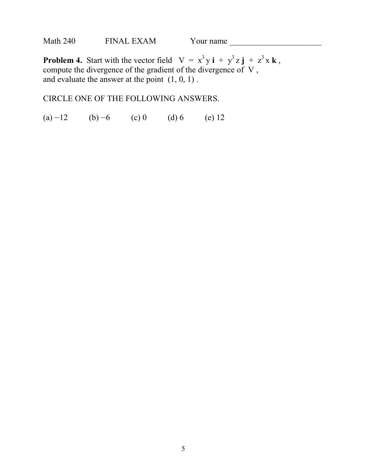**Problem 4.** Start with the vector field  $V = x^3y i + y^3z j + z^3x k$ , compute the divergence of the gradient of the divergence of V , and evaluate the answer at the point  $(1, 0, 1)$ .

CIRCLE ONE OF THE FOLLOWING ANSWERS.

(a)  $-12$  (b)  $-6$  (c) 0 (d) 6 (e) 12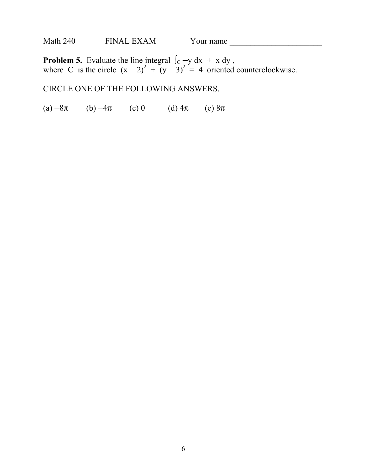**Problem 5.** Evaluate the line integral  $\int_C -y \, dx + x \, dy$ , where C is the circle  $(x-2)^2 + (y-3)^2 = 4$  oriented counterclockwise.

CIRCLE ONE OF THE FOLLOWING ANSWERS.

(a)  $-8\pi$  (b)  $-4\pi$  (c) 0 (d)  $4\pi$  (e)  $8\pi$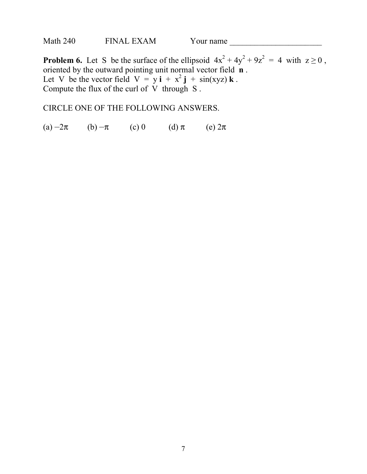| Math 240 | <b>FINAL EXAM</b> | Y our name |  |
|----------|-------------------|------------|--|
|----------|-------------------|------------|--|

**Problem 6.** Let S be the surface of the ellipsoid  $4x^2 + 4y^2 + 9z^2 = 4$  with  $z \ge 0$ , oriented by the outward pointing unit normal vector field **n** . Let V be the vector field  $V = y \mathbf{i} + x^2 \mathbf{j} + \sin(xyz) \mathbf{k}$ . Compute the flux of the curl of V through S .

CIRCLE ONE OF THE FOLLOWING ANSWERS.

(a)  $-2\pi$  (b)  $-\pi$  (c) 0 (d)  $\pi$  (e)  $2\pi$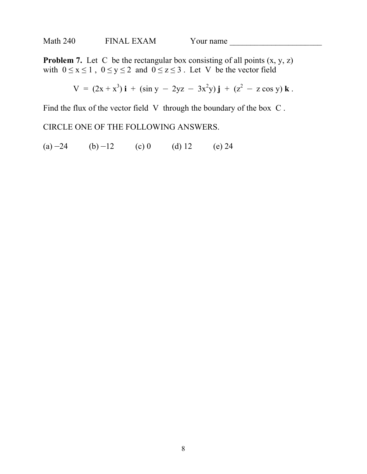| Math 240 | <b>FINAL EXAM</b> | Y our name |  |
|----------|-------------------|------------|--|
|----------|-------------------|------------|--|

**Problem 7.** Let C be the rectangular box consisting of all points  $(x, y, z)$ with  $0 \le x \le 1$ ,  $0 \le y \le 2$  and  $0 \le z \le 3$ . Let V be the vector field

$$
V = (2x + x3) i + (sin y - 2yz - 3x2y) j + (z2 - z cos y) k.
$$

Find the flux of the vector field V through the boundary of the box C.

## CIRCLE ONE OF THE FOLLOWING ANSWERS.

(a)  $-24$  (b)  $-12$  (c) 0 (d) 12 (e) 24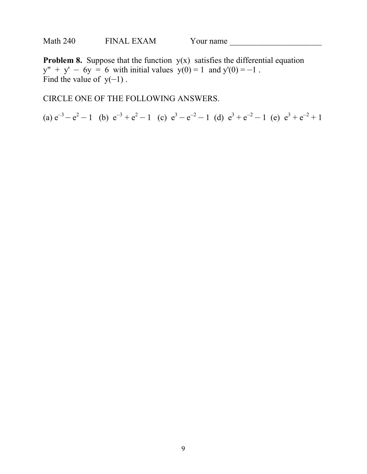**Problem 8.** Suppose that the function  $y(x)$  satisfies the differential equation  $y'' + y' - 6y = 6$  with initial values  $y(0) = 1$  and  $y'(0) = -1$ . Find the value of  $y(-1)$ .

CIRCLE ONE OF THE FOLLOWING ANSWERS.

(a)  $e^{-3} - e^{2} - 1$  (b)  $e^{-3} + e^{2} - 1$  (c)  $e^{3} - e^{-2} - 1$  (d)  $e^{3} + e^{-2} - 1$  (e)  $e^{3} + e^{-2} + 1$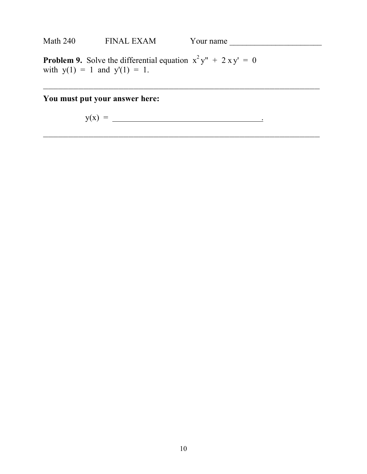| <b>Math 240</b> | <b>FINAL EXAM</b><br>Y our name |  |
|-----------------|---------------------------------|--|
|                 |                                 |  |

**Problem 9.** Solve the differential equation  $x^2y'' + 2xy' = 0$ with  $y(1) = 1$  and  $y'(1) = 1$ .

**You must put your answer here:**

y(x) = .

———————————————————————————————————————————————————————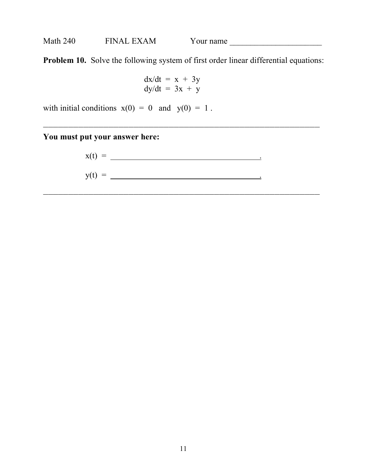**Problem 10.** Solve the following system of first order linear differential equations:

———————————————————————————————————————————————————————

———————————————————————————————————————————————————————

$$
dx/dt = x + 3y
$$
  
 
$$
dy/dt = 3x + y
$$

with initial conditions  $x(0) = 0$  and  $y(0) = 1$ .

**You must put your answer here:**

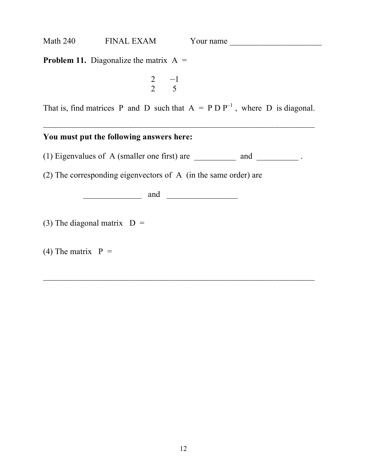**Problem 11.** Diagonalize the matrix  $A =$ 

$$
\begin{array}{cc} 2 & -1 \\ 2 & 5 \end{array}
$$

That is, find matrices P and D such that  $A = P D P^{-1}$ , where D is diagonal.

#### —————————————————————————————————————————————————————— **You must put the following answers here:**

(1) Eigenvalues of A (smaller one first) are  $\qquad$  and  $\qquad$ .

——————————————————————————————————————————————————————

(2) The corresponding eigenvectors of A (in the same order) are

 $\Box$  and  $\Box$ 

(3) The diagonal matrix  $D =$ 

(4) The matrix  $P =$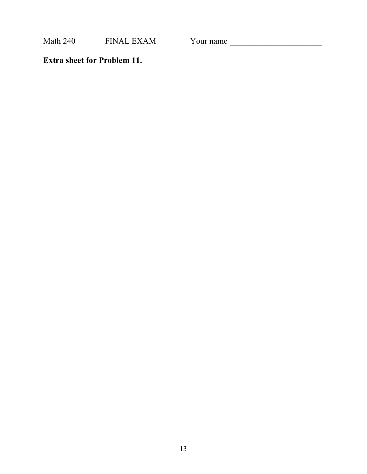Math 240 FINAL EXAM Your name \_\_\_\_\_\_\_\_\_\_\_\_\_\_\_\_\_\_\_\_\_\_

**Extra sheet for Problem 11.**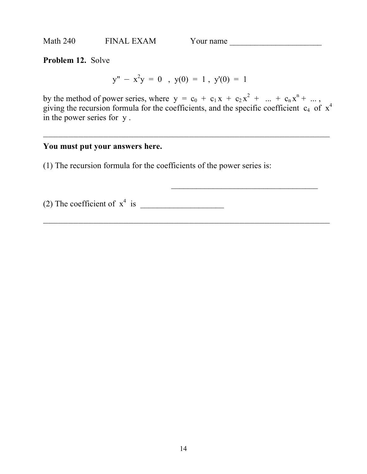**Problem 12.** Solve

 $y'' - x^2y = 0$ ,  $y(0) = 1$ ,  $y'(0) = 1$ 

by the method of power series, where  $y = c_0 + c_1 x + c_2 x^2 + ... + c_n x^n + ...$ giving the recursion formula for the coefficients, and the specific coefficient  $c_4$  of  $x^4$ in the power series for y .

—————————————————————————————————————————————————————————

—————————————————————————————————————————————————————————

## **You must put your answers here.**

(1) The recursion formula for the coefficients of the power series is:

(2) The coefficient of  $x^4$  is